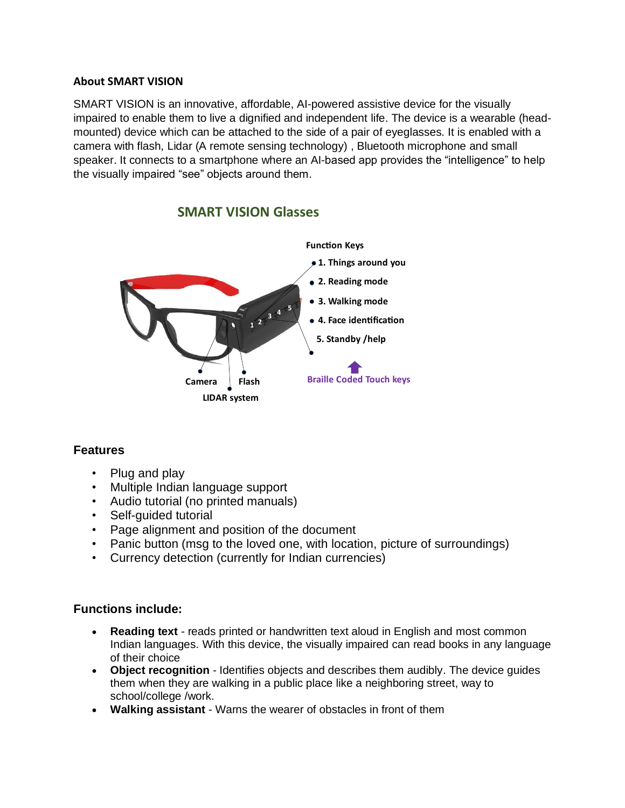### **About SMART VISION**

SMART VISION is an innovative, affordable, AI-powered assistive device for the visually impaired to enable them to live a dignified and independent life. The device is a wearable (headmounted) device which can be attached to the side of a pair of eyeglasses. It is enabled with a camera with flash, Lidar (A remote sensing technology) , Bluetooth microphone and small speaker. It connects to a smartphone where an AI-based app provides the "intelligence" to help the visually impaired "see" objects around them.



# **SMART VISION Glasses**

# **Features**

- Plug and play
- Multiple Indian language support
- Audio tutorial (no printed manuals)
- Self-guided tutorial
- Page alignment and position of the document
- Panic button (msg to the loved one, with location, picture of surroundings)
- Currency detection (currently for Indian currencies)

# **Functions include:**

- **Reading text** reads printed or handwritten text aloud in English and most common Indian languages. With this device, the visually impaired can read books in any language of their choice
- **Object recognition**  Identifies objects and describes them audibly. The device guides them when they are walking in a public place like a neighboring street, way to school/college /work.
- **Walking assistant**  Warns the wearer of obstacles in front of them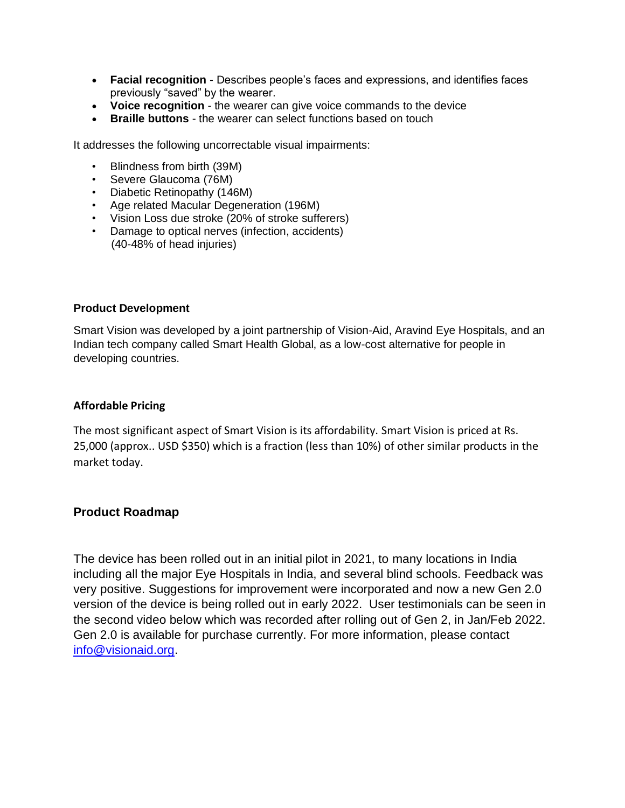- **Facial recognition**  Describes people's faces and expressions, and identifies faces previously "saved" by the wearer.
- **Voice recognition**  the wearer can give voice commands to the device
- **Braille buttons** the wearer can select functions based on touch

It addresses the following uncorrectable visual impairments:

- Blindness from birth (39M)
- Severe Glaucoma (76M)
- Diabetic Retinopathy (146M)
- Age related Macular Degeneration (196M)
- Vision Loss due stroke (20% of stroke sufferers)
- Damage to optical nerves (infection, accidents) (40-48% of head injuries)

#### **Product Development**

Smart Vision was developed by a joint partnership of Vision-Aid, Aravind Eye Hospitals, and an Indian tech company called Smart Health Global, as a low-cost alternative for people in developing countries.

#### **Affordable Pricing**

The most significant aspect of Smart Vision is its affordability. Smart Vision is priced at Rs. 25,000 (approx.. USD \$350) which is a fraction (less than 10%) of other similar products in the market today.

### **Product Roadmap**

The device has been rolled out in an initial pilot in 2021, to many locations in India including all the major Eye Hospitals in India, and several blind schools. Feedback was very positive. Suggestions for improvement were incorporated and now a new Gen 2.0 version of the device is being rolled out in early 2022. User testimonials can be seen in the second video below which was recorded after rolling out of Gen 2, in Jan/Feb 2022. Gen 2.0 is available for purchase currently. For more information, please contact [info@visionaid.org.](mailto:info@visionaid.org)